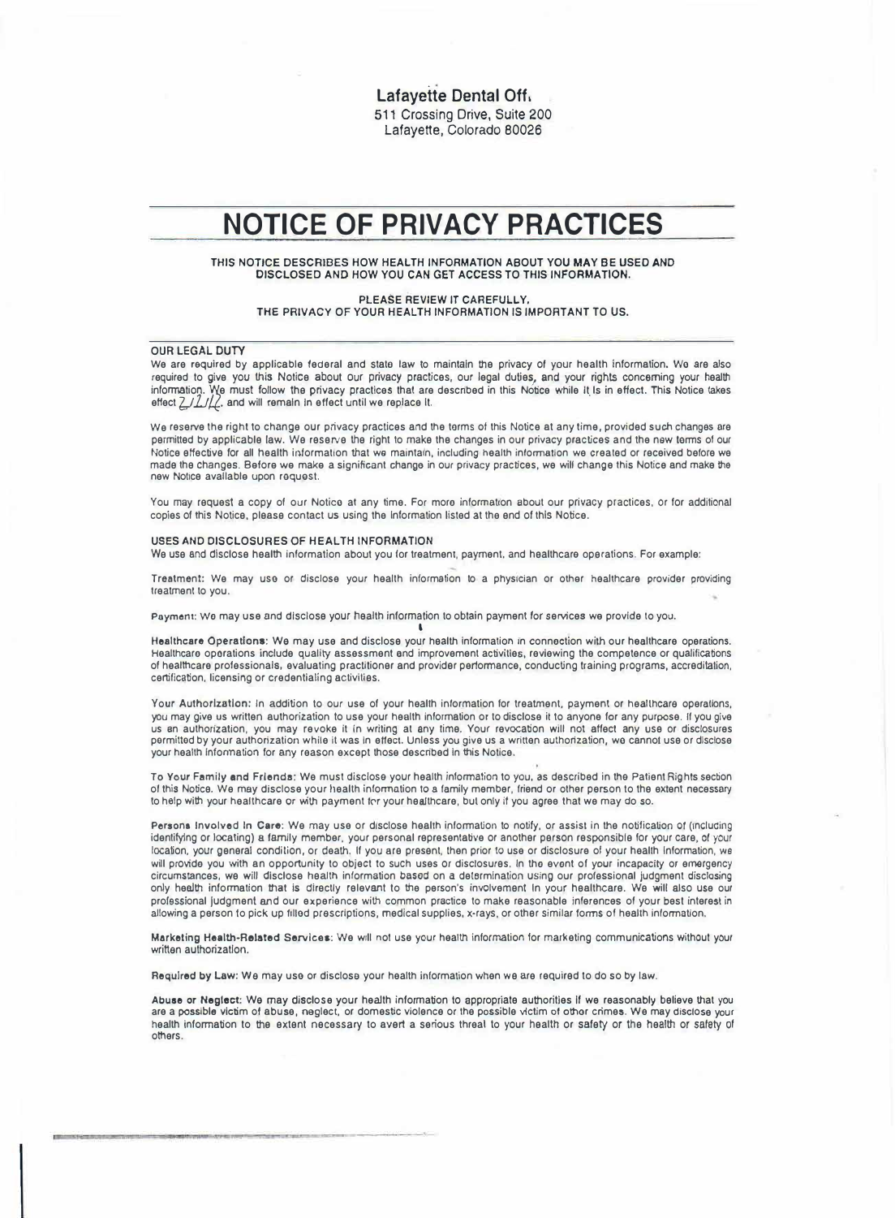**Lafavette Dental Off.** 511 Crossing Drive, Suite 200 Lafayette, Colorado 80026

## **NOTICE OF PRIVACY PRACTICES**

### THIS NOTICE DESCRIBES HOW HEALTH INFORMATION ABOUT YOU MAY BE USED AND DISCLOSED AND HOW YOU CAN GET ACCESS TO THIS INFORMATION.

PLEASE REVIEW IT CAREFULLY. THE PRIVACY OF YOUR HEALTH INFORMATION IS IMPORTANT TO US.

#### OUR LEGAL DUTY

We are required by applicable federal and stato law to maintain the privacy of *your* health information. Wo are also required to give you this Notice about our privacy practices, our legal duties, and your rights concerning your health information. We must follow the privacy practices that are described in this Notice while It Is in effect. This Notice takes<br>effect *LIII*/L, and will remain in effect until we replace It.

We reserve the right to change our privacy practices and the torms of this Notice at any time, provided such changes are permitted by applicable law. We reserve the right to make the changes in our privacy practices and the new torms of our Notice effective for all health information that we maintain, including health information we created or received before we made the changes. Before we make a significant change in our privacy practices, we will change this Notice and make the new Notice available upon request.

You may request a copy of our Notico at any time. For more information about our privacy practices, or for additional copies of this Notice, please contact us using the Information listed at the end of this Notice.

#### USES AND DISCLOSURES OF HEALTH INFORMATION

We use and disclose health information about you for treatment, payment, and healthcare operations. For example:

Treatment: We may use or disclose your health information to a physician or other healthcare provider providing treatment to you.

P11ymen1: Wo may use and disclose your health information to obtain payment tor services we provide to you. '

Healthcare Operations: We may use and disclose your health information in connection with our healthcare operations. Healthcare oporations include quality assessment and improvement activities, reviewing the competence or qualifications of healthcare professionals, evaluating practitioner and provider performance, conducting training programs, accreditation, certification, licensing or credentialing activities.

Your Authorization: In addition to our use of your health information for treatment, payment or healthcare operations, you may give us written authorization to use your health Information or to disclose it to anyone for any purpose. If you give us en authonzation, you may revoke It In writing at any time. Your revocation will not affect any use or disclosures pormittod by your authorization white it was In effect. Unless *you* give us a written authorization, wo cannot use or dlsctose your health lnfonnation for *any* reason except those described In this Notice.

To Your Family and Frlenda: We must discloso your health information to *you,* as described in tho Patient Rights section of this Notice. We may disclose your health information to a family member, friend or other person to the extent necessary to help with your healthcare or with payment for your healthcare, but only if you agree that we may do so.

Persona Involved In **Care:** We may use or disclose health information to notify, or assist in the notification *ot* (including identifying or locating) a family member, your personal representative or another person responsible for your care, ot your location, your general condition, or death. If you ere present, then prior to use or disclosure of your health Information, we will provide you with an opportunity to object to such uses or disclosures. In tho evont of *your* incapacity or emergency circumstances, we **will** disclose health information based on a determination using our professional judgment disclosing only health infonnatlon lhat Is directly relevant to the person's involvement In your healthcare. We will also use our professional judgment and our experience with common practice to make reasonable Inferences of your best interest in allowing a person to pick up filled prescriptions, medical supplies, x•rays, or other similar forms of health Information.

Marketing Health-Related Services: We will not use your health information for marketing communications without your written authorization.

**Required** by Law: We may use or disclose your health information when we are required to do so by law.

**Abuse** or **Neglect: We** may disclose your health information lo appropriate authorities If we reasonably believe that you are a possible victim of abuse, neglect, or domestic violence or the possible victim of othor crimes. We may disclose your health information to the extent necessary to avert a serious threal to your health or safety or the health or safety of others.